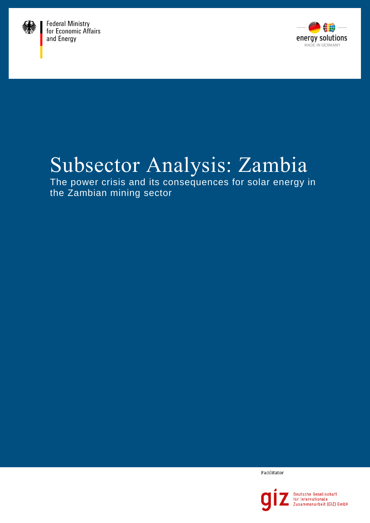



# Subsector Analysis: Zambia

The power crisis and its consequences for solar energy in the Zambian mining sector

Facilitator

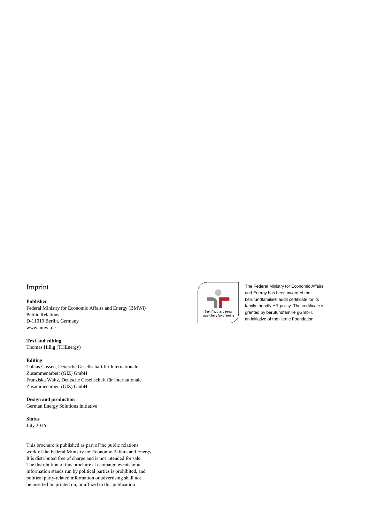#### Imprint

#### **Publisher**

Federal Ministry for Economic Affairs and Energy (BMWi) Public Relations D-11019 Berlin, Germany [www.bmwi.de](http://www.bmwi.de/)

**Text and editing** Thomas Hillig (THEnergy)

#### **Editing**

Tobias Cossen, Deutsche Gesellschaft für Internationale Zusammenarbeit (GIZ) GmbH Franziska Waitz, Deutsche Gesellschaft für Internationale Zusammenarbeit (GIZ) GmbH

#### **Design and production**

German Energy Solutions Initiative

**Status** July 2016

This brochure is published as part of the public relations work of the Federal Ministry for Economic Affairs and Energy. It is distributed free of charge and is not intended for sale. The distribution of this brochure at campaign events or at information stands run by political parties is prohibited, and political party-related information or advertising shall not be inserted in, printed on, or affixed to this publication.



The Federal Ministry for Economic Affairs and Energy has been awarded the berufundfamilie® audit certificate for its family-friendly HR policy. The certificate is granted by berufundfamilie gGmbH, an initiative of the Hertie Foundation.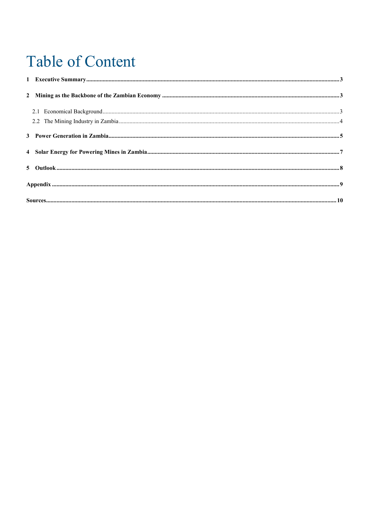# **Table of Content**

| $\textbf{Source}.\textcolor{red}{\textbf{300T}}\textbf{C}\textbf{S}.\textcolor{red}{\textbf{300T}}\textbf{S}.\textcolor{red}{\textbf{300T}}\textbf{S}.\textcolor{red}{\textbf{300T}}\textbf{S}.\textcolor{red}{\textbf{300T}}\textbf{S}.\textcolor{red}{\textbf{300T}}\textbf{S}.\textcolor{red}{\textbf{300T}}\textbf{S}.\textcolor{red}{\textbf{300T}}\textbf{S}.\textcolor{red}{\textbf{300T}}\textbf{S}.\textcolor{red}{\textbf{300T}}\textbf{S$ |  |
|------------------------------------------------------------------------------------------------------------------------------------------------------------------------------------------------------------------------------------------------------------------------------------------------------------------------------------------------------------------------------------------------------------------------------------------------------|--|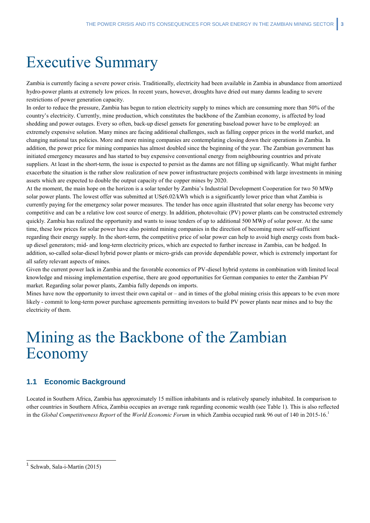# <span id="page-4-0"></span>Executive Summary

Zambia is currently facing a severe power crisis. Traditionally, electricity had been available in Zambia in abundance from amortized hydro-power plants at extremely low prices. In recent years, however, droughts have dried out many damns leading to severe restrictions of power generation capacity.

In order to reduce the pressure, Zambia has begun to ration electricity supply to mines which are consuming more than 50% of the country's electricity. Currently, mine production, which constitutes the backbone of the Zambian economy, is affected by load shedding and power outages. Every so often, back-up diesel gensets for generating baseload power have to be employed: an extremely expensive solution. Many mines are facing additional challenges, such as falling copper prices in the world market, and changing national tax policies. More and more mining companies are contemplating closing down their operations in Zambia. In addition, the power price for mining companies has almost doubled since the beginning of the year. The Zambian government has initiated emergency measures and has started to buy expensive conventional energy from neighbouring countries and private suppliers. At least in the short-term, the issue is expected to persist as the damns are not filling up significantly. What might further exacerbate the situation is the rather slow realization of new power infrastructure projects combined with large investments in mining assets which are expected to double the output capacity of the copper mines by 2020.

At the moment, the main hope on the horizon is a solar tender by Zambia's Industrial Development Cooperation for two 50 MWp solar power plants. The lowest offer was submitted at US¢6.02/kWh which is a significantly lower price than what Zambia is currently paying for the emergency solar power measures. The tender has once again illustrated that solar energy has become very competitive and can be a relative low cost source of energy. In addition, photovoltaic (PV) power plants can be constructed extremely quickly. Zambia has realized the opportunity and wants to issue tenders of up to additional 500 MWp of solar power. At the same time, these low prices for solar power have also pointed mining companies in the direction of becoming more self-sufficient regarding their energy supply. In the short-term, the competitive price of solar power can help to avoid high energy costs from backup diesel generators; mid- and long-term electricity prices, which are expected to further increase in Zambia, can be hedged. In addition, so-called solar-diesel hybrid power plants or micro-grids can provide dependable power, which is extremely important for all safety relevant aspects of mines.

Given the current power lack in Zambia and the favorable economics of PV-diesel hybrid systems in combination with limited local knowledge and missing implementation expertise, there are good opportunities for German companies to enter the Zambian PV market. Regarding solar power plants, Zambia fully depends on imports.

Mines have now the opportunity to invest their own capital or  $-$  and in times of the global mining crisis this appears to be even more likely - commit to long-term power purchase agreements permitting investors to build PV power plants near mines and to buy the electricity of them.

### <span id="page-4-1"></span>Mining as the Backbone of the Zambian Economy

#### <span id="page-4-2"></span>**1.1 Economic Background**

Located in Southern Africa, Zambia has approximately 15 million inhabitants and is relatively sparsely inhabited. In comparison to other countries in Southern Africa, Zambia occupies an average rank regarding economic wealth (see Table 1). This is also reflected in the *Global Competitiveness Report* of the *World Economic Forum* in which Zambia occupied rank 96 out of 140 in 2015-16. 1

<sup>1</sup> Schwab, Sala-i-Martín (2015)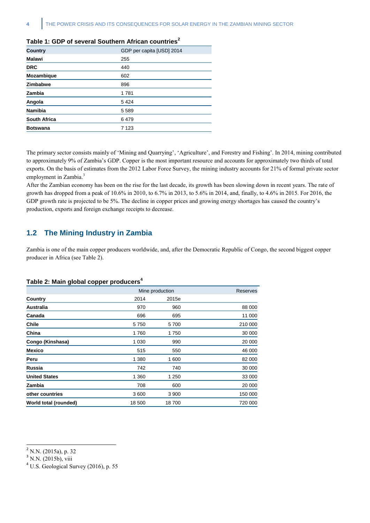| Country             | GDP per capita [USD] 2014 |
|---------------------|---------------------------|
| <b>Malawi</b>       | 255                       |
| <b>DRC</b>          | 440                       |
| Mozambique          | 602                       |
| Zimbabwe            | 896                       |
| Zambia              | 1781                      |
| Angola              | 5 4 2 4                   |
| <b>Namibia</b>      | 5 5 8 9                   |
| <b>South Africa</b> | 6479                      |
| <b>Botswana</b>     | 7 1 2 3                   |

#### **Table 1: GDP of several Southern African countries<sup>2</sup>**

The primary sector consists mainly of 'Mining and Quarrying', 'Agriculture', and Forestry and Fishing'. In 2014, mining contributed to approximately 9% of Zambia's GDP. Copper is the most important resource and accounts for approximately two thirds of total exports. On the basis of estimates from the 2012 Labor Force Survey, the mining industry accounts for 21% of formal private sector employment in Zambia.<sup>3</sup>

After the Zambian economy has been on the rise for the last decade, its growth has been slowing down in recent years. The rate of growth has dropped from a peak of 10.6% in 2010, to 6.7% in 2013, to 5.6% in 2014, and, finally, to 4.6% in 2015. For 2016, the GDP growth rate is projected to be 5%. The decline in copper prices and growing energy shortages has caused the country's production, exports and foreign exchange receipts to decrease.

#### <span id="page-5-0"></span>**1.2 The Mining Industry in Zambia**

Zambia is one of the main copper producers worldwide, and, after the Democratic Republic of Congo, the second biggest copper producer in Africa (see Table 2).

#### **Table 2: Main global copper producers<sup>4</sup>**

| ◡                     |         |                 |         |  |
|-----------------------|---------|-----------------|---------|--|
|                       |         | Mine production |         |  |
| Country               | 2014    | 2015e           |         |  |
| <b>Australia</b>      | 970     | 960             | 88 000  |  |
| Canada                | 696     | 695             | 11 000  |  |
| <b>Chile</b>          | 5750    | 5700            | 210 000 |  |
| China                 | 1760    | 1750            | 30 000  |  |
| Congo (Kinshasa)      | 1 0 3 0 | 990             | 20 000  |  |
| <b>Mexico</b>         | 515     | 550             | 46 000  |  |
| Peru                  | 1 3 8 0 | 1 600           | 82 000  |  |
| <b>Russia</b>         | 742     | 740             | 30 000  |  |
| <b>United States</b>  | 1 360   | 1 250           | 33 000  |  |
| Zambia                | 708     | 600             | 20 000  |  |
| other countries       | 3600    | 3 900           | 150 000 |  |
| World total (rounded) | 18 500  | 18700           | 720 000 |  |
|                       |         |                 |         |  |

<sup>2</sup> N.N. (2015a), p. 32

<sup>&</sup>lt;sup>3</sup> N.N. (2015b), viii

 $4$  U.S. Geological Survey (2016), p. 55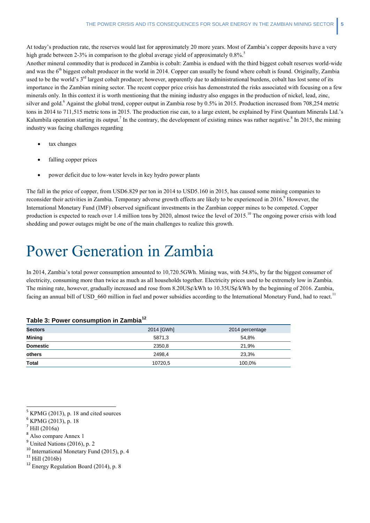At today's production rate, the reserves would last for approximately 20 more years. Most of Zambia's copper deposits have a very high grade between 2-3% in comparison to the global average yield of approximately  $0.8\%$ .<sup>5</sup>

Another mineral commodity that is produced in Zambia is cobalt: Zambia is endued with the third biggest cobalt reserves world-wide and was the  $6<sup>th</sup>$  biggest cobalt producer in the world in 2014. Copper can usually be found where cobalt is found. Originally, Zambia used to be the world's 3<sup>rd</sup> largest cobalt producer; however, apparently due to administrational burdens, cobalt has lost some of its importance in the Zambian mining sector. The recent copper price crisis has demonstrated the risks associated with focusing on a few minerals only. In this context it is worth mentioning that the mining industry also engages in the production of nickel, lead, zinc, silver and gold.<sup>6</sup> Against the global trend, copper output in Zambia rose by 0.5% in 2015. Production increased from 708,254 metric tons in 2014 to 711,515 metric tons in 2015. The production rise can, to a large extent, be explained by First Quantum Minerals Ltd.'s Kalumbila operation starting its output.<sup>7</sup> In the contrary, the development of existing mines was rather negative.<sup>8</sup> In 2015, the mining industry was facing challenges regarding

- tax changes
- falling copper prices
- power deficit due to low-water levels in key hydro power plants

The fall in the price of copper, from USD6.829 per ton in 2014 to USD5.160 in 2015, has caused some mining companies to reconsider their activities in Zambia. Temporary adverse growth effects are likely to be experienced in 2016.<sup>9</sup> However, the International Monetary Fund (IMF) observed significant investments in the Zambian copper mines to be competed. Copper production is expected to reach over 1.4 million tons by 2020, almost twice the level of 2015.<sup>10</sup> The ongoing power crisis with load shedding and power outages might be one of the main challenges to realize this growth.

# <span id="page-6-0"></span>Power Generation in Zambia

In 2014, Zambia's total power consumption amounted to 10,720.5GWh. Mining was, with 54.8%, by far the biggest consumer of electricity, consuming more than twice as much as all households together. Electricity prices used to be extremely low in Zambia. The mining rate, however, gradually increased and rose from 8.20US¢/kWh to 10.35US¢/kWh by the beginning of 2016. Zambia, facing an annual bill of USD\_660 million in fuel and power subsidies according to the International Monetary Fund, had to react.<sup>11</sup>

| <b>Sectors</b>  | 2014 [GWh] | 2014 percentage |  |  |  |  |
|-----------------|------------|-----------------|--|--|--|--|
| <b>Mining</b>   | 5871.3     | 54.8%           |  |  |  |  |
| <b>Domestic</b> | 2350.8     | 21.9%           |  |  |  |  |
| others          | 2498.4     | 23,3%           |  |  |  |  |
| Total           | 10720,5    | 100.0%          |  |  |  |  |

#### **Table 3: Power consumption in Zambia<sup>12</sup>**

 $\overline{a}$ 

 $<sup>5</sup>$  KPMG (2013), p. 18 and cited sources</sup>

<sup>6</sup> KPMG (2013), p. 18

 $<sup>7</sup>$  Hill (2016a)</sup>

<sup>&</sup>lt;sup>8</sup> Also compare Annex 1

 $<sup>9</sup>$  United Nations (2016), p. 2</sup>

 $10$  International Monetary Fund (2015), p. 4

 $11$  Hill (2016b)

<sup>12</sup> Energy Regulation Board (2014), p. 8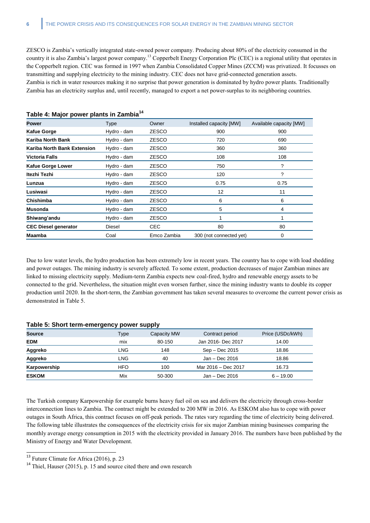ZESCO is Zambia's vertically integrated state-owned power company. Producing about 80% of the electricity consumed in the country it is also Zambia's largest power company.<sup>13</sup> Copperbelt Energy Corporation Plc (CEC) is a regional utility that operates in the Copperbelt region. CEC was formed in 1997 when Zambia Consolidated Copper Mines (ZCCM) was privatized. It focusses on transmitting and supplying electricity to the mining industry. CEC does not have grid-connected generation assets. Zambia is rich in water resources making it no surprise that power generation is dominated by hydro power plants. Traditionally Zambia has an electricity surplus and, until recently, managed to export a net power-surplus to its neighboring countries.

| Power                       | Type        | Owner        | Installed capacity [MW] | Available capacity [MW] |
|-----------------------------|-------------|--------------|-------------------------|-------------------------|
| <b>Kafue Gorge</b>          | Hydro - dam | <b>ZESCO</b> | 900                     | 900                     |
| <b>Kariba North Bank</b>    | Hydro - dam | <b>ZESCO</b> | 720                     | 690                     |
| Kariba North Bank Extension | Hydro - dam | <b>ZESCO</b> | 360                     | 360                     |
| <b>Victoria Falls</b>       | Hydro - dam | <b>ZESCO</b> | 108                     | 108                     |
| <b>Kafue Gorge Lower</b>    | Hydro - dam | <b>ZESCO</b> | 750                     | ?                       |
| Itezhi Tezhi                | Hydro - dam | <b>ZESCO</b> | 120                     | ?                       |
| Lunzua                      | Hydro - dam | ZESCO        | 0.75                    | 0.75                    |
| Lusiwasi                    | Hydro - dam | <b>ZESCO</b> | 12                      | 11                      |
| Chishimba                   | Hydro - dam | <b>ZESCO</b> | 6                       | 6                       |
| <b>Musonda</b>              | Hydro - dam | <b>ZESCO</b> | 5                       | 4                       |
| Shiwang'andu                | Hydro - dam | <b>ZESCO</b> |                         |                         |
| <b>CEC Diesel generator</b> | Diesel      | <b>CEC</b>   | 80                      | 80                      |
| <b>Maamba</b>               | Coal        | Emco Zambia  | 300 (not connected yet) | 0                       |

#### **Table 4: Major power plants in Zambia<sup>14</sup>**

Due to low water levels, the hydro production has been extremely low in recent years. The country has to cope with load shedding and power outages. The mining industry is severely affected. To some extent, production decreases of major Zambian mines are linked to missing electricity supply. Medium-term Zambia expects new coal-fired, hydro and renewable energy assets to be connected to the grid. Nevertheless, the situation might even worsen further, since the mining industry wants to double its copper production until 2020. In the short-term, the Zambian government has taken several measures to overcome the current power crisis as demonstrated in Table 5.

#### **Table 5: Short term-emergency power supply**

| <b>Source</b> | Type       | Capacity MW | Contract period     | Price (USDc/kWh) |  |  |  |  |
|---------------|------------|-------------|---------------------|------------------|--|--|--|--|
| <b>EDM</b>    | mix        | 80-150      | Jan 2016- Dec 2017  | 14.00            |  |  |  |  |
| Aggreko       | LNG        | 148         | Sep - Dec 2015      | 18.86            |  |  |  |  |
| Aggreko       | LNG        | 40          | Jan - Dec 2016      | 18.86            |  |  |  |  |
| Karpowership  | <b>HFO</b> | 100         | Mar 2016 - Dec 2017 | 16.73            |  |  |  |  |
| <b>ESKOM</b>  | Mix        | 50-300      | Jan - Dec 2016      | $6 - 19.00$      |  |  |  |  |

The Turkish company Karpowership for example burns heavy fuel oil on sea and delivers the electricity through cross-border interconnection lines to Zambia. The contract might be extended to 200 MW in 2016. As ESKOM also has to cope with power outages in South Africa, this contract focuses on off-peak periods. The rates vary regarding the time of electricity being delivered. The following table illustrates the consequences of the electricity crisis for six major Zambian mining businesses comparing the monthly average energy consumption in 2015 with the electricity provided in January 2016. The numbers have been published by the Ministry of Energy and Water Development.

 $13$  Future Climate for Africa (2016), p. 23

<sup>&</sup>lt;sup>14</sup> Thiel, Hauser (2015), p. 15 and source cited there and own research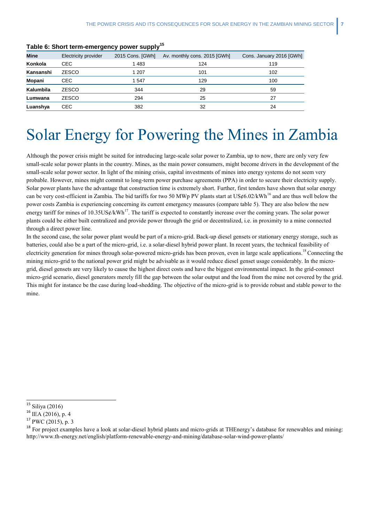| Mine      | Electricity provider | 2015 Cons. [GWh] | Av. monthly cons. 2015 [GWh] | Cons. January 2016 [GWh] |
|-----------|----------------------|------------------|------------------------------|--------------------------|
| Konkola   | <b>CEC</b>           | 1483             | 124                          | 119                      |
| Kansanshi | <b>ZESCO</b>         | 1 207            | 101                          | 102                      |
| Mopani    | <b>CEC</b>           | 1547             | 129                          | 100                      |
| Kalumbila | <b>ZESCO</b>         | 344              | 29                           | 59                       |
| Lumwana   | <b>ZESCO</b>         | 294              | 25                           | 27                       |
| Luanshya  | CEC.                 | 382              | 32                           | 24                       |
|           |                      |                  |                              |                          |

**Table 6: Short term-emergency power supply<sup>15</sup>**

### <span id="page-8-0"></span>Solar Energy for Powering the Mines in Zambia

Although the power crisis might be suited for introducing large-scale solar power to Zambia, up to now, there are only very few small-scale solar power plants in the country. Mines, as the main power consumers, might become drivers in the development of the small-scale solar power sector. In light of the mining crisis, capital investments of mines into energy systems do not seem very probable. However, mines might commit to long-term power purchase agreements (PPA) in order to secure their electricity supply. Solar power plants have the advantage that construction time is extremely short. Further, first tenders have shown that solar energy can be very cost-efficient in Zambia. The bid tariffs for two 50 MWp PV plants start at US¢6.02/kWh<sup>16</sup> and are thus well below the power costs Zambia is experiencing concerning its current emergency measures (compare table 5). They are also below the new energy tariff for mines of 10.35US¢/kWh<sup>17</sup>. The tariff is expected to constantly increase over the coming years. The solar power plants could be either built centralized and provide power through the grid or decentralized, i.e. in proximity to a mine connected through a direct power line.

In the second case, the solar power plant would be part of a micro-grid. Back-up diesel gensets or stationary energy storage, such as batteries, could also be a part of the micro-grid, i.e. a solar-diesel hybrid power plant. In recent years, the technical feasibility of electricity generation for mines through solar-powered micro-grids has been proven, even in large scale applications.<sup>18</sup> Connecting the mining micro-grid to the national power grid might be advisable as it would reduce diesel genset usage considerably. In the microgrid, diesel gensets are very likely to cause the highest direct costs and have the biggest environmental impact. In the grid-connect micro-grid scenario, diesel generators merely fill the gap between the solar output and the load from the mine not covered by the grid. This might for instance be the case during load-shedding. The objective of the micro-grid is to provide robust and stable power to the mine.

<sup>&</sup>lt;sup>15</sup> Siliya (2016)

 $^{16}$  IEA (2016), p. 4

<sup>17</sup> PWC (2015), p. 3

<sup>&</sup>lt;sup>18</sup> For project examples have a look at solar-diesel hybrid plants and micro-grids at THEnergy's database for renewables and mining: <http://www.th-energy.net/english/platform-renewable-energy-and-mining/database-solar-wind-power-plants/>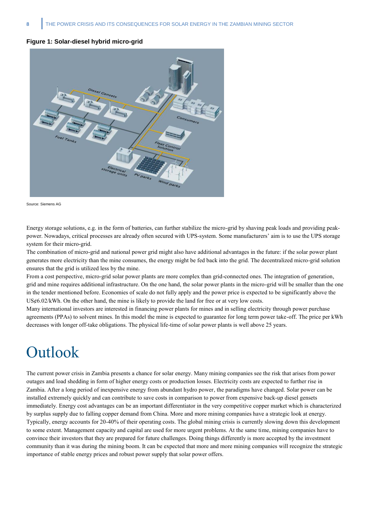#### **Figure 1: Solar-diesel hybrid micro-grid**



Source: Siemens AG

Energy storage solutions, e.g. in the form of batteries, can further stabilize the micro-grid by shaving peak loads and providing peakpower. Nowadays, critical processes are already often secured with UPS-system. Some manufacturers' aim is to use the UPS storage system for their micro-grid.

The combination of micro-grid and national power grid might also have additional advantages in the future: if the solar power plant generates more electricity than the mine consumes, the energy might be fed back into the grid. The decentralized micro-grid solution ensures that the grid is utilized less by the mine.

From a cost perspective, micro-grid solar power plants are more complex than grid-connected ones. The integration of generation, grid and mine requires additional infrastructure. On the one hand, the solar power plants in the micro-grid will be smaller than the one in the tender mentioned before. Economies of scale do not fully apply and the power price is expected to be significantly above the US¢6.02/kWh. On the other hand, the mine is likely to provide the land for free or at very low costs.

<span id="page-9-0"></span>Many international investors are interested in financing power plants for mines and in selling electricity through power purchase agreements (PPAs) to solvent mines. In this model the mine is expected to guarantee for long term power take-off. The price per kWh decreases with longer off-take obligations. The physical life-time of solar power plants is well above 25 years.

### **Outlook**

The current power crisis in Zambia presents a chance for solar energy. Many mining companies see the risk that arises from power outages and load shedding in form of higher energy costs or production losses. Electricity costs are expected to further rise in Zambia. After a long period of inexpensive energy from abundant hydro power, the paradigms have changed. Solar power can be installed extremely quickly and can contribute to save costs in comparison to power from expensive back-up diesel gensets immediately. Energy cost advantages can be an important differentiator in the very competitive copper market which is characterized by surplus supply due to falling copper demand from China. More and more mining companies have a strategic look at energy. Typically, energy accounts for 20-40% of their operating costs. The global mining crisis is currently slowing down this development to some extent. Management capacity and capital are used for more urgent problems. At the same time, mining companies have to convince their investors that they are prepared for future challenges. Doing things differently is more accepted by the investment community than it was during the mining boom. It can be expected that more and more mining companies will recognize the strategic importance of stable energy prices and robust power supply that solar power offers.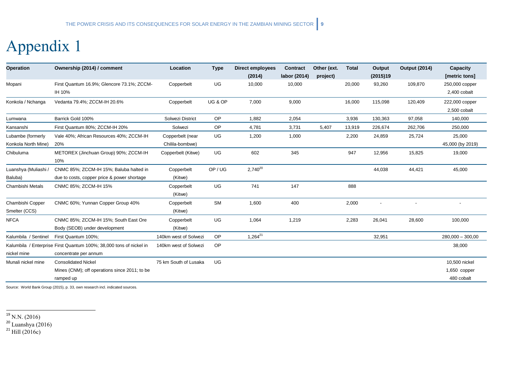# Appendix 1

| <b>Operation</b>                         | Ownership (2014) / comment                                                                   | Location                            | <b>Type</b> | <b>Direct employees</b><br>(2014) | Contract<br>labor (2014) | Other (ext.<br>project) | <b>Total</b> | Output<br>(2015)19 | <b>Output (2014)</b> | Capacity<br>[metric tons]                   |
|------------------------------------------|----------------------------------------------------------------------------------------------|-------------------------------------|-------------|-----------------------------------|--------------------------|-------------------------|--------------|--------------------|----------------------|---------------------------------------------|
| Mopani                                   | First Quantum 16.9%; Glencore 73.1%; ZCCM-<br>IH 10%                                         | Copperbelt                          | UG          | 10,000                            | 10,000                   |                         | 20,000       | 93,260             | 109,870              | 250,000 copper<br>2,400 cobalt              |
| Konkola / Nchanga                        | Vedanta 79.4%; ZCCM-IH 20.6%                                                                 | Copperbelt                          | UG & OP     | 7,000                             | 9,000                    |                         | 16,000       | 115,098            | 120,409              | 222,000 copper<br>2,500 cobalt              |
| Lumwana                                  | Barrick Gold 100%                                                                            | Solwezi District                    | OP          | 1,882                             | 2,054                    |                         | 3,936        | 130,363            | 97,058               | 140,000                                     |
| Kansanshi                                | First Quantum 80%; ZCCM-IH 20%                                                               | Solwezi                             | OP          | 4,781                             | 3,731                    | 5,407                   | 13,919       | 226,674            | 262,706              | 250,000                                     |
| Lubambe (formerly<br>Konkola North Mine) | Vale 40%; African Resources 40%; ZCCM-IH<br>20%                                              | Copperbelt (near<br>Chilila-bombwe) | UG          | 1,200                             | 1,000                    |                         | 2,200        | 24,859             | 25,724               | 25,000<br>45,000 (by 2019)                  |
| Chibuluma                                | METOREX (Jinchuan Group) 90%; ZCCM-IH<br>10%                                                 | Copperbelt (Kitwe)                  | UG          | 602                               | 345                      |                         | 947          | 12,956             | 15,825               | 19,000                                      |
| Luanshya (Muliashi /<br>Baluba)          | CNMC 85%; ZCCM-IH 15%; Baluba halted in<br>due to costs, copper price & power shortage       | Copperbelt<br>(Kitwe)               | OP/UG       | $2,740^{20}$                      |                          |                         |              | 44,038             | 44,421               | 45,000                                      |
| Chambishi Metals                         | CNMC 85%; ZCCM-IH 15%                                                                        | Copperbelt<br>(Kitwe)               | UG          | 741                               | 147                      |                         | 888          |                    |                      |                                             |
| Chambishi Copper<br>Smelter (CCS)        | CNMC 60%; Yunnan Copper Group 40%                                                            | Copperbelt<br>(Kitwe)               | <b>SM</b>   | 1,600                             | 400                      |                         | 2,000        |                    |                      |                                             |
| <b>NFCA</b>                              | CNMC 85%; ZCCM-IH 15%; South East Ore<br>Body (SEOB) under development                       | Copperbelt<br>(Kitwe)               | UG          | 1,064                             | 1,219                    |                         | 2,283        | 26,041             | 28,600               | 100,000                                     |
| Kalumbila / Sentinel                     | First Quantum 100%;                                                                          | 140km west of Solwezi               | OP          | $1,264^{21}$                      |                          |                         |              | 32,951             |                      | $280,000 - 300,00$                          |
| nickel mine                              | Kalumbila / Enterprise First Quantum 100%; 38,000 tons of nickel in<br>concentrate per annum | 140km west of Solwezi               | OP          |                                   |                          |                         |              |                    |                      | 38,000                                      |
| Munali nickel mine                       | <b>Consolidated Nickel</b><br>Mines (CNM); off operations since 2011; to be<br>ramped up     | 75 km South of Lusaka               | UG          |                                   |                          |                         |              |                    |                      | 10,500 nickel<br>1,650 copper<br>480 cobalt |

<span id="page-10-0"></span>Source: World Bank Group (2015), p. 33, own research incl. indicated sources.

l  $^{19}$  N.N. (2016)

 $20$  Luanshya (2016)

 $^{21}$  Hill (2016c)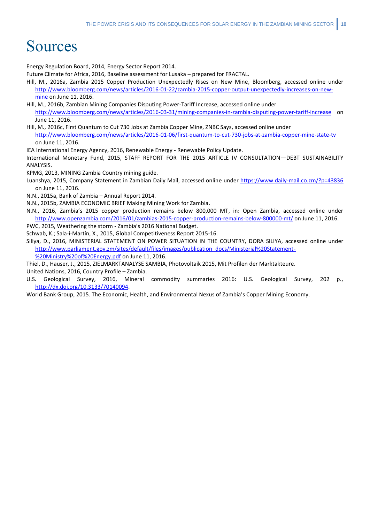### <span id="page-11-0"></span>Sources

Energy Regulation Board, 2014, Energy Sector Report 2014.

Future Climate for Africa, 2016, Baseline assessment for Lusaka – prepared for FRACTAL.

- Hill, M., 2016a, Zambia 2015 Copper Production Unexpectedly Rises on New Mine, Bloomberg, accessed online under [http://www.bloomberg.com/news/articles/2016-01-22/zambia-2015-copper-output-unexpectedly-increases-on-new](http://www.bloomberg.com/news/articles/2016-01-22/zambia-2015-copper-output-unexpectedly-increases-on-new-mine)[mine](http://www.bloomberg.com/news/articles/2016-01-22/zambia-2015-copper-output-unexpectedly-increases-on-new-mine) on June 11, 2016.
- Hill, M., 2016b, Zambian Mining Companies Disputing Power-Tariff Increase, accessed online under <http://www.bloomberg.com/news/articles/2016-03-31/mining-companies-in-zambia-disputing-power-tariff-increase> on June 11, 2016.
- Hill, M., 2016c, First Quantum to Cut 730 Jobs at Zambia Copper Mine, ZNBC Says, accessed online under <http://www.bloomberg.com/news/articles/2016-01-06/first-quantum-to-cut-730-jobs-at-zambia-copper-mine-state-tv> on June 11, 2016.
- IEA International Energy Agency, 2016, Renewable Energy Renewable Policy Update.
- International Monetary Fund, 2015, STAFF REPORT FOR THE 2015 ARTICLE IV CONSULTATION—DEBT SUSTAINABILITY ANALYSIS.
- KPMG, 2013, MINING Zambia Country mining guide.
- Luanshya, 2015, Company Statement in Zambian Daily Mail, accessed online under https://www.daily-mail.co.zm/?p=43836 on June 11, 2016.
- N.N., 2015a, Bank of Zambia Annual Report 2014.
- N.N., 2015b, ZAMBIA ECONOMIC BRIEF Making Mining Work for Zambia.
- N.N., 2016, Zambia's 2015 copper production remains below 800,000 MT, in: Open Zambia, accessed online under <http://www.openzambia.com/2016/01/zambias-2015-copper-production-remains-below-800000-mt/> on June 11, 2016.
- PWC, 2015, Weathering the storm Zambia's 2016 National Budget. Schwab, K.; Sala-i-Martín, X., 2015, Global Competitiveness Report 2015-16.
- Siliya, D., 2016, MINISTERIAL STATEMENT ON POWER SITUATION IN THE COUNTRY, DORA SILIYA, accessed online under [http://www.parliament.gov.zm/sites/default/files/images/publication\\_docs/Ministerial%20Statement-](http://www.parliament.gov.zm/sites/default/files/images/publication_docs/Ministerial%20Statement-%20Ministry%20of%20Energy.pdf)
	- [%20Ministry%20of%20Energy.pdf](http://www.parliament.gov.zm/sites/default/files/images/publication_docs/Ministerial%20Statement-%20Ministry%20of%20Energy.pdf) on June 11, 2016.
- Thiel, D., Hauser, J., 2015, ZIELMARKTANALYSE SAMBIA, Photovoltaik 2015, Mit Profilen der Marktakteure. United Nations, 2016, Country Profile – Zambia.
- U.S. Geological Survey, 2016, Mineral commodity summaries 2016: U.S. Geological Survey, 202 p., [http://dx.doi.org/10.3133/70140094.](http://dx.doi.org/10.3133/70140094)

World Bank Group, 2015. The Economic, Health, and Environmental Nexus of Zambia's Copper Mining Economy.